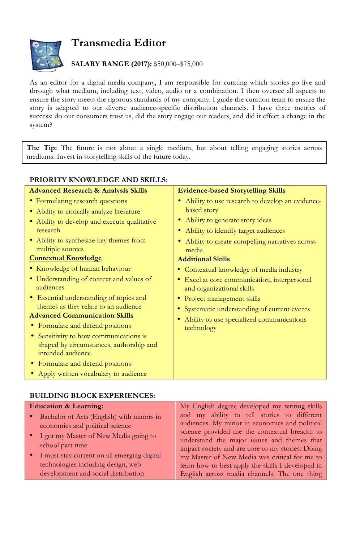

## **Transmedia Editor**

## **SALARY RANGE (2017):** \$50,000–\$75,000

As an editor for a digital media company, I am responsible for curating which stories go live and through what medium, including text, video, audio or a combination. I then oversee all aspects to ensure the story meets the rigorous standards of my company. I guide the curation team to ensure the story is adapted to our diverse audience-specific distribution channels. I have three metrics of success: do our consumers trust us, did the story engage our readers, and did it effect a change in the system?

**The Tip:** The future is not about a single medium, but about telling engaging stories across mediums. Invest in storytelling skills of the future today.

| <b>PRIORITY KNOWLEDGE AND SKILLS:</b>                                                                  |                                                                           |  |
|--------------------------------------------------------------------------------------------------------|---------------------------------------------------------------------------|--|
| <b>Advanced Research &amp; Analysis Skills</b>                                                         | <b>Evidence-based Storytelling Skills</b>                                 |  |
| • Formulating research questions                                                                       | Ability to use research to develop an evidence-                           |  |
| • Ability to critically analyze literature                                                             | based story                                                               |  |
| • Ability to develop and execute qualitative                                                           | Ability to generate story ideas                                           |  |
| research                                                                                               | Ability to identify target audiences                                      |  |
| • Ability to synthesize key themes from<br>multiple sources                                            | Ability to create compelling narratives across<br>media                   |  |
| <b>Contextual Knowledge</b>                                                                            | <b>Additional Skills</b>                                                  |  |
| • Knowledge of human behaviour                                                                         | • Contextual knowledge of media industry                                  |  |
| • Understanding of context and values of<br>audiences                                                  | • Excel at core communication, interpersonal<br>and organizational skills |  |
| • Essential understanding of topics and                                                                | • Project management skills                                               |  |
| themes as they relate to an audience                                                                   | Systematic understanding of current events                                |  |
| <b>Advanced Communication Skills</b>                                                                   | Ability to use specialized communications<br>technology                   |  |
| • Formulate and defend positions                                                                       |                                                                           |  |
| • Sensitivity to how communications is<br>shaped by circumstances, authorship and<br>intended audience |                                                                           |  |
| • Formulate and defend positions                                                                       |                                                                           |  |
| • Apply written vocabulary to audience                                                                 |                                                                           |  |

## **BUILDING BLOCK EXPERIENCES:**

| <b>Education &amp; Learning:</b>                                                                                                                                                                                                                                            | My English degree developed my writing skills                                                                                                                                                                                                                                                                                                                                                           |
|-----------------------------------------------------------------------------------------------------------------------------------------------------------------------------------------------------------------------------------------------------------------------------|---------------------------------------------------------------------------------------------------------------------------------------------------------------------------------------------------------------------------------------------------------------------------------------------------------------------------------------------------------------------------------------------------------|
| • Bachelor of Arts (English) with minors in<br>economics and political science<br>• I got my Master of New Media going to<br>school part time<br>• I must stay current on all emerging digital<br>technologies including design, web<br>development and social distribution | and my ability to tell stories to different<br>audiences. My minor in economics and political<br>science provided me the contextual breadth to<br>understand the major issues and themes that<br>impact society and are core to my stories. Doing<br>my Master of New Media was critical for me to<br>learn how to best apply the skills I developed in<br>English across media channels. The one thing |